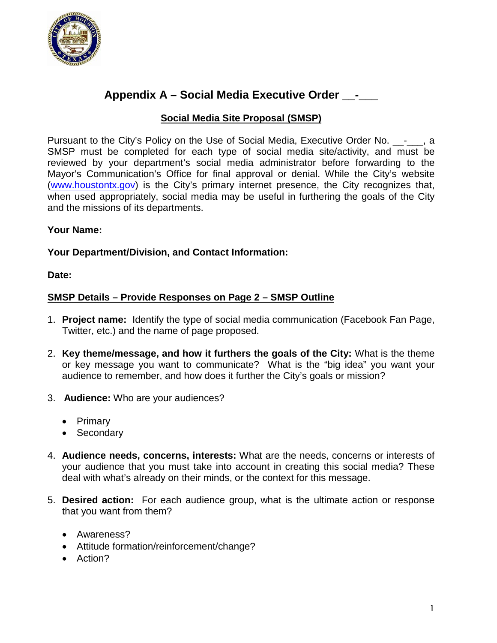

# **Appendix A – Social Media Executive Order \_\_-\_\_\_**

## **Social Media Site Proposal (SMSP)**

Pursuant to the City's Policy on the Use of Social Media, Executive Order No.  $\qquad \qquad$  . SMSP must be completed for each type of social media site/activity, and must be reviewed by your department's social media administrator before forwarding to the Mayor's Communication's Office for final approval or denial. While the City's website [\(www.houstontx.gov\)](http://www.houstontx.gov/) is the City's primary internet presence, the City recognizes that, when used appropriately, social media may be useful in furthering the goals of the City and the missions of its departments.

### **Your Name:**

### **Your Department/Division, and Contact Information:**

**Date:**

### **SMSP Details – Provide Responses on Page 2 – SMSP Outline**

- 1. **Project name:** Identify the type of social media communication (Facebook Fan Page, Twitter, etc.) and the name of page proposed.
- 2. **Key theme/message, and how it furthers the goals of the City:** What is the theme or key message you want to communicate? What is the "big idea" you want your audience to remember, and how does it further the City's goals or mission?
- 3. **Audience:** Who are your audiences?
	- Primary
	- Secondary
- 4. **Audience needs, concerns, interests:** What are the needs, concerns or interests of your audience that you must take into account in creating this social media? These deal with what's already on their minds, or the context for this message.
- 5. **Desired action:** For each audience group, what is the ultimate action or response that you want from them?
	- Awareness?
	- Attitude formation/reinforcement/change?
	- Action?